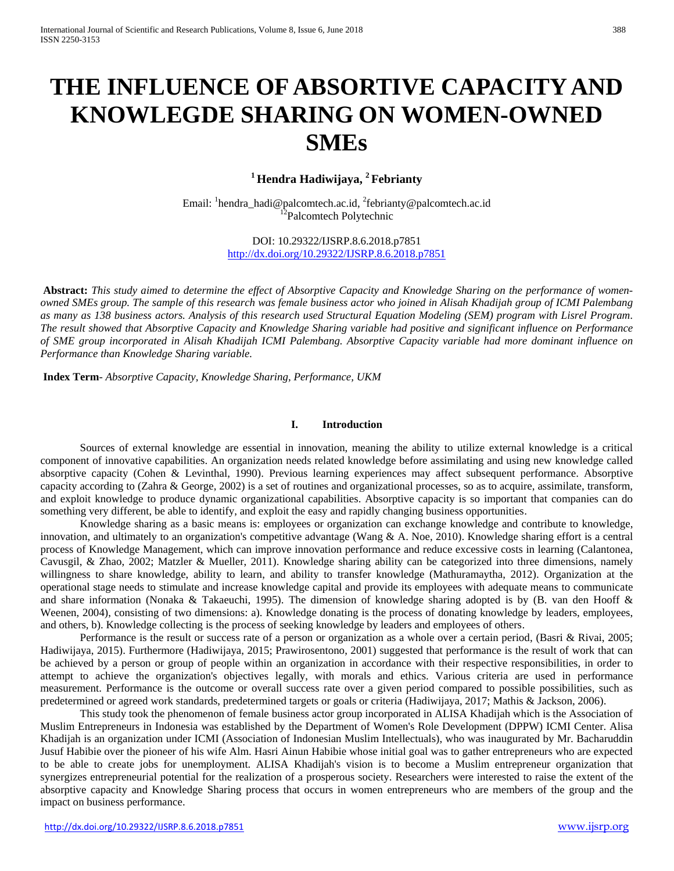# **THE INFLUENCE OF ABSORTIVE CAPACITY AND KNOWLEGDE SHARING ON WOMEN-OWNED SMEs**

# **<sup>1</sup> Hendra Hadiwijaya, 2 Febrianty**

Email: <sup>1</sup>hendra\_hadi@palcomtech.ac.id, <sup>2</sup>febrianty@palcomtech.ac.id<br><sup>12</sup>Palcomtech Polytechnic

DOI: 10.29322/IJSRP.8.6.2018.p7851 <http://dx.doi.org/10.29322/IJSRP.8.6.2018.p7851>

**Abstract:** *This study aimed to determine the effect of Absorptive Capacity and Knowledge Sharing on the performance of womenowned SMEs group. The sample of this research was female business actor who joined in Alisah Khadijah group of ICMI Palembang as many as 138 business actors. Analysis of this research used Structural Equation Modeling (SEM) program with Lisrel Program. The result showed that Absorptive Capacity and Knowledge Sharing variable had positive and significant influence on Performance of SME group incorporated in Alisah Khadijah ICMI Palembang. Absorptive Capacity variable had more dominant influence on Performance than Knowledge Sharing variable.*

**Index Term**- *Absorptive Capacity, Knowledge Sharing, Performance, UKM*

## **I. Introduction**

Sources of external knowledge are essential in innovation, meaning the ability to utilize external knowledge is a critical component of innovative capabilities. An organization needs related knowledge before assimilating and using new knowledge called absorptive capacity (Cohen & Levinthal, 1990). Previous learning experiences may affect subsequent performance. Absorptive capacity according to (Zahra & George, 2002) is a set of routines and organizational processes, so as to acquire, assimilate, transform, and exploit knowledge to produce dynamic organizational capabilities. Absorptive capacity is so important that companies can do something very different, be able to identify, and exploit the easy and rapidly changing business opportunities.

Knowledge sharing as a basic means is: employees or organization can exchange knowledge and contribute to knowledge, innovation, and ultimately to an organization's competitive advantage (Wang  $\&$  A. Noe, 2010). Knowledge sharing effort is a central process of Knowledge Management, which can improve innovation performance and reduce excessive costs in learning (Calantonea, Cavusgil, & Zhao, 2002; Matzler & Mueller, 2011). Knowledge sharing ability can be categorized into three dimensions, namely willingness to share knowledge, ability to learn, and ability to transfer knowledge (Mathuramaytha, 2012). Organization at the operational stage needs to stimulate and increase knowledge capital and provide its employees with adequate means to communicate and share information (Nonaka & Takaeuchi, 1995). The dimension of knowledge sharing adopted is by (B. van den Hooff & Weenen, 2004), consisting of two dimensions: a). Knowledge donating is the process of donating knowledge by leaders, employees, and others, b). Knowledge collecting is the process of seeking knowledge by leaders and employees of others.

Performance is the result or success rate of a person or organization as a whole over a certain period, (Basri & Rivai, 2005; Hadiwijaya, 2015). Furthermore (Hadiwijaya, 2015; Prawirosentono, 2001) suggested that performance is the result of work that can be achieved by a person or group of people within an organization in accordance with their respective responsibilities, in order to attempt to achieve the organization's objectives legally, with morals and ethics. Various criteria are used in performance measurement. Performance is the outcome or overall success rate over a given period compared to possible possibilities, such as predetermined or agreed work standards, predetermined targets or goals or criteria (Hadiwijaya, 2017; Mathis & Jackson, 2006).

This study took the phenomenon of female business actor group incorporated in ALISA Khadijah which is the Association of Muslim Entrepreneurs in Indonesia was established by the Department of Women's Role Development (DPPW) ICMI Center. Alisa Khadijah is an organization under ICMI (Association of Indonesian Muslim Intellectuals), who was inaugurated by Mr. Bacharuddin Jusuf Habibie over the pioneer of his wife Alm. Hasri Ainun Habibie whose initial goal was to gather entrepreneurs who are expected to be able to create jobs for unemployment. ALISA Khadijah's vision is to become a Muslim entrepreneur organization that synergizes entrepreneurial potential for the realization of a prosperous society. Researchers were interested to raise the extent of the absorptive capacity and Knowledge Sharing process that occurs in women entrepreneurs who are members of the group and the impact on business performance.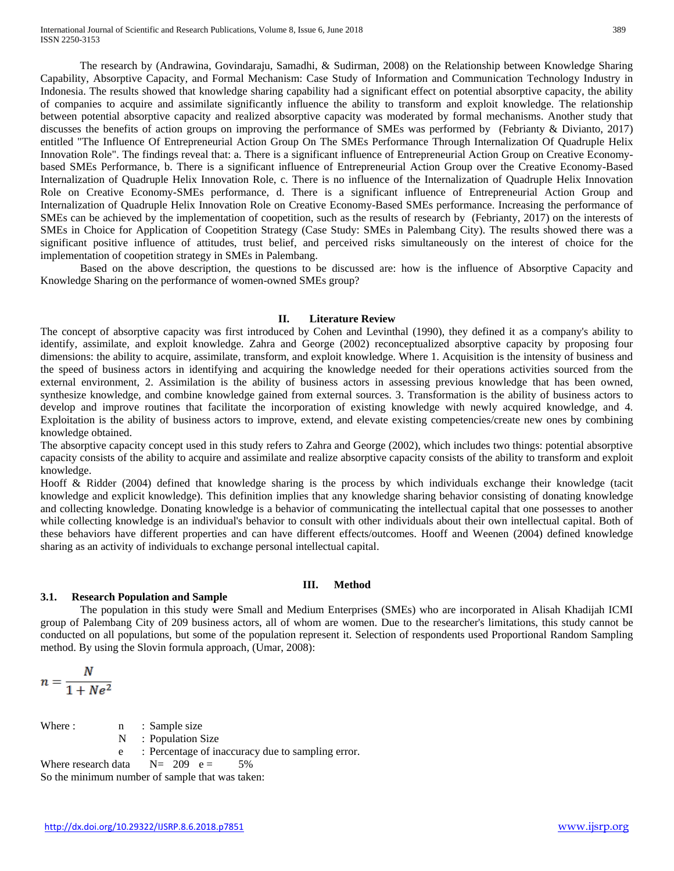The research by (Andrawina, Govindaraju, Samadhi, & Sudirman, 2008) on the Relationship between Knowledge Sharing Capability, Absorptive Capacity, and Formal Mechanism: Case Study of Information and Communication Technology Industry in Indonesia. The results showed that knowledge sharing capability had a significant effect on potential absorptive capacity, the ability of companies to acquire and assimilate significantly influence the ability to transform and exploit knowledge. The relationship between potential absorptive capacity and realized absorptive capacity was moderated by formal mechanisms. Another study that discusses the benefits of action groups on improving the performance of SMEs was performed by (Febrianty & Divianto, 2017) entitled "The Influence Of Entrepreneurial Action Group On The SMEs Performance Through Internalization Of Quadruple Helix Innovation Role". The findings reveal that: a. There is a significant influence of Entrepreneurial Action Group on Creative Economybased SMEs Performance, b. There is a significant influence of Entrepreneurial Action Group over the Creative Economy-Based Internalization of Quadruple Helix Innovation Role, c. There is no influence of the Internalization of Quadruple Helix Innovation Role on Creative Economy-SMEs performance, d. There is a significant influence of Entrepreneurial Action Group and Internalization of Quadruple Helix Innovation Role on Creative Economy-Based SMEs performance. Increasing the performance of SMEs can be achieved by the implementation of coopetition, such as the results of research by (Febrianty, 2017) on the interests of SMEs in Choice for Application of Coopetition Strategy (Case Study: SMEs in Palembang City). The results showed there was a significant positive influence of attitudes, trust belief, and perceived risks simultaneously on the interest of choice for the implementation of coopetition strategy in SMEs in Palembang.

Based on the above description, the questions to be discussed are: how is the influence of Absorptive Capacity and Knowledge Sharing on the performance of women-owned SMEs group?

#### **II. Literature Review**

The concept of absorptive capacity was first introduced by Cohen and Levinthal (1990), they defined it as a company's ability to identify, assimilate, and exploit knowledge. Zahra and George (2002) reconceptualized absorptive capacity by proposing four dimensions: the ability to acquire, assimilate, transform, and exploit knowledge. Where 1. Acquisition is the intensity of business and the speed of business actors in identifying and acquiring the knowledge needed for their operations activities sourced from the external environment, 2. Assimilation is the ability of business actors in assessing previous knowledge that has been owned, synthesize knowledge, and combine knowledge gained from external sources. 3. Transformation is the ability of business actors to develop and improve routines that facilitate the incorporation of existing knowledge with newly acquired knowledge, and 4. Exploitation is the ability of business actors to improve, extend, and elevate existing competencies/create new ones by combining knowledge obtained.

The absorptive capacity concept used in this study refers to Zahra and George (2002), which includes two things: potential absorptive capacity consists of the ability to acquire and assimilate and realize absorptive capacity consists of the ability to transform and exploit knowledge.

Hooff & Ridder (2004) defined that knowledge sharing is the process by which individuals exchange their knowledge (tacit knowledge and explicit knowledge). This definition implies that any knowledge sharing behavior consisting of donating knowledge and collecting knowledge. Donating knowledge is a behavior of communicating the intellectual capital that one possesses to another while collecting knowledge is an individual's behavior to consult with other individuals about their own intellectual capital. Both of these behaviors have different properties and can have different effects/outcomes. Hooff and Weenen (2004) defined knowledge sharing as an activity of individuals to exchange personal intellectual capital.

#### **III. Method**

#### **3.1. Research Population and Sample**

The population in this study were Small and Medium Enterprises (SMEs) who are incorporated in Alisah Khadijah ICMI group of Palembang City of 209 business actors, all of whom are women. Due to the researcher's limitations, this study cannot be conducted on all populations, but some of the population represent it. Selection of respondents used Proportional Random Sampling method. By using the Slovin formula approach, (Umar, 2008):

$$
n = \frac{N}{1 + Ne^2}
$$

Where : n : Sample size

N : Population Size

e : Percentage of inaccuracy due to sampling error.

Where research data  $N = 209$  e = 5%

So the minimum number of sample that was taken: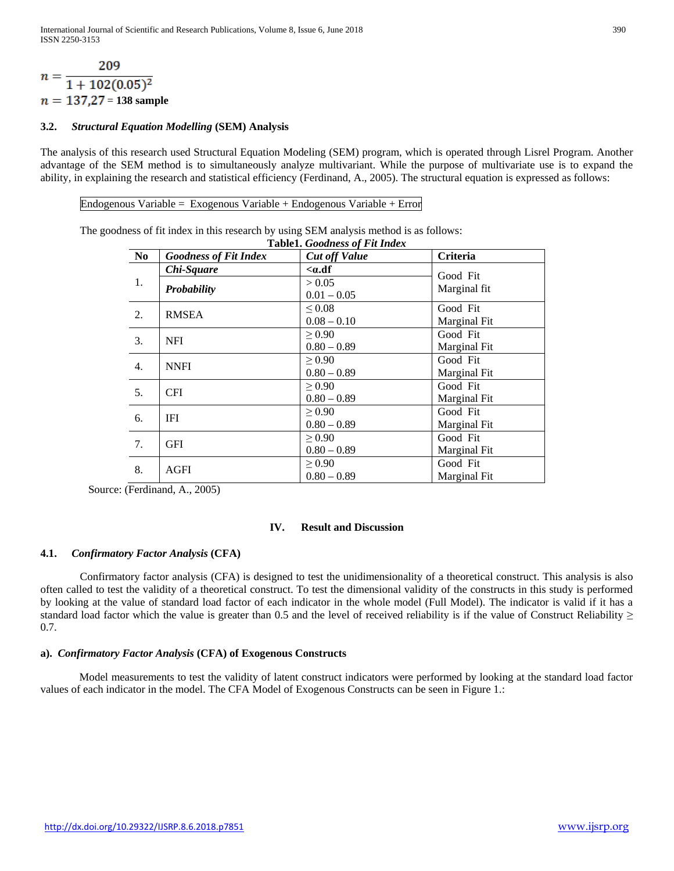$$
n = \frac{209}{1 + 102(0.05)^2}
$$
  
n = 137,27 = 138 sample

# **3.2.** *Structural Equation Modelling* **(SEM) Analysis**

The analysis of this research used Structural Equation Modeling (SEM) program, which is operated through Lisrel Program. Another advantage of the SEM method is to simultaneously analyze multivariant. While the purpose of multivariate use is to expand the ability, in explaining the research and statistical efficiency (Ferdinand, A., 2005). The structural equation is expressed as follows:

Endogenous Variable = Exogenous Variable + Endogenous Variable + Error

The goodness of fit index in this research by using SEM analysis method is as follows:

|                  | Table1. Goodness of Fit Index |                      |                 |  |  |  |
|------------------|-------------------------------|----------------------|-----------------|--|--|--|
| N <sub>0</sub>   | <b>Goodness of Fit Index</b>  | <b>Cut off Value</b> | <b>Criteria</b> |  |  |  |
|                  | Chi-Square                    | $.df$                | Good Fit        |  |  |  |
| 1.               | Probability                   | > 0.05               | Marginal fit    |  |  |  |
|                  |                               | $0.01 - 0.05$        |                 |  |  |  |
| 2.               | <b>RMSEA</b>                  | 0.08<                | Good Fit        |  |  |  |
|                  |                               | $0.08 - 0.10$        | Marginal Fit    |  |  |  |
| 3.               | <b>NFI</b>                    | > 0.90               | Good Fit        |  |  |  |
|                  |                               | $0.80 - 0.89$        | Marginal Fit    |  |  |  |
| $\overline{4}$ . | <b>NNFI</b>                   | > 0.90               | Good Fit        |  |  |  |
|                  |                               | $0.80 - 0.89$        | Marginal Fit    |  |  |  |
| 5.               | <b>CFI</b>                    | > 0.90               | Good Fit        |  |  |  |
|                  |                               | $0.80 - 0.89$        | Marginal Fit    |  |  |  |
| 6.               | IFI                           | $\geq 0.90$          | Good Fit        |  |  |  |
|                  |                               | $0.80 - 0.89$        | Marginal Fit    |  |  |  |
| 7.               | <b>GFI</b>                    | $\geq 0.90$          | Good Fit        |  |  |  |
|                  |                               | $0.80 - 0.89$        | Marginal Fit    |  |  |  |
| 8.               | AGFI                          | $\geq 0.90$          | Good Fit        |  |  |  |
|                  |                               | $0.80 - 0.89$        | Marginal Fit    |  |  |  |

Source: (Ferdinand, A., 2005)

# **IV. Result and Discussion**

#### **4.1.** *Confirmatory Factor Analysis* **(CFA)**

Confirmatory factor analysis (CFA) is designed to test the unidimensionality of a theoretical construct. This analysis is also often called to test the validity of a theoretical construct. To test the dimensional validity of the constructs in this study is performed by looking at the value of standard load factor of each indicator in the whole model (Full Model). The indicator is valid if it has a standard load factor which the value is greater than 0.5 and the level of received reliability is if the value of Construct Reliability  $\geq$ 0.7.

#### **a).** *Confirmatory Factor Analysis* **(CFA) of Exogenous Constructs**

Model measurements to test the validity of latent construct indicators were performed by looking at the standard load factor values of each indicator in the model. The CFA Model of Exogenous Constructs can be seen in Figure 1.: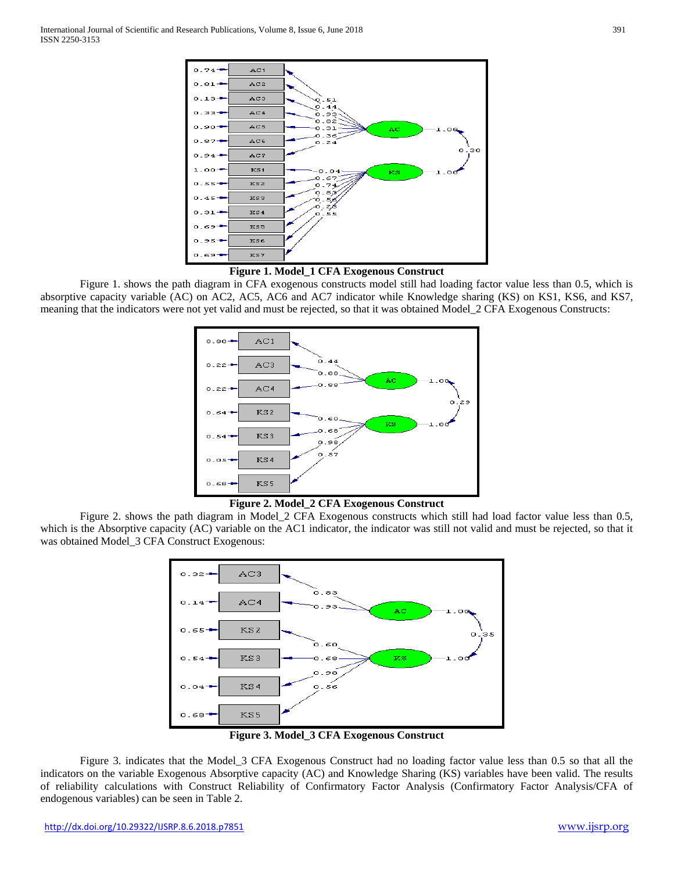

#### **Figure 1. Model\_1 CFA Exogenous Construct**

Figure 1. shows the path diagram in CFA exogenous constructs model still had loading factor value less than 0.5, which is absorptive capacity variable (AC) on AC2, AC5, AC6 and AC7 indicator while Knowledge sharing (KS) on KS1, KS6, and KS7, meaning that the indicators were not yet valid and must be rejected, so that it was obtained Model\_2 CFA Exogenous Constructs:



**Figure 2. Model\_2 CFA Exogenous Construct**

Figure 2. shows the path diagram in Model\_2 CFA Exogenous constructs which still had load factor value less than 0.5, which is the Absorptive capacity (AC) variable on the AC1 indicator, the indicator was still not valid and must be rejected, so that it was obtained Model\_3 CFA Construct Exogenous:



**Figure 3. Model\_3 CFA Exogenous Construct**

Figure 3. indicates that the Model\_3 CFA Exogenous Construct had no loading factor value less than 0.5 so that all the indicators on the variable Exogenous Absorptive capacity (AC) and Knowledge Sharing (KS) variables have been valid. The results of reliability calculations with Construct Reliability of Confirmatory Factor Analysis (Confirmatory Factor Analysis/CFA of endogenous variables) can be seen in Table 2.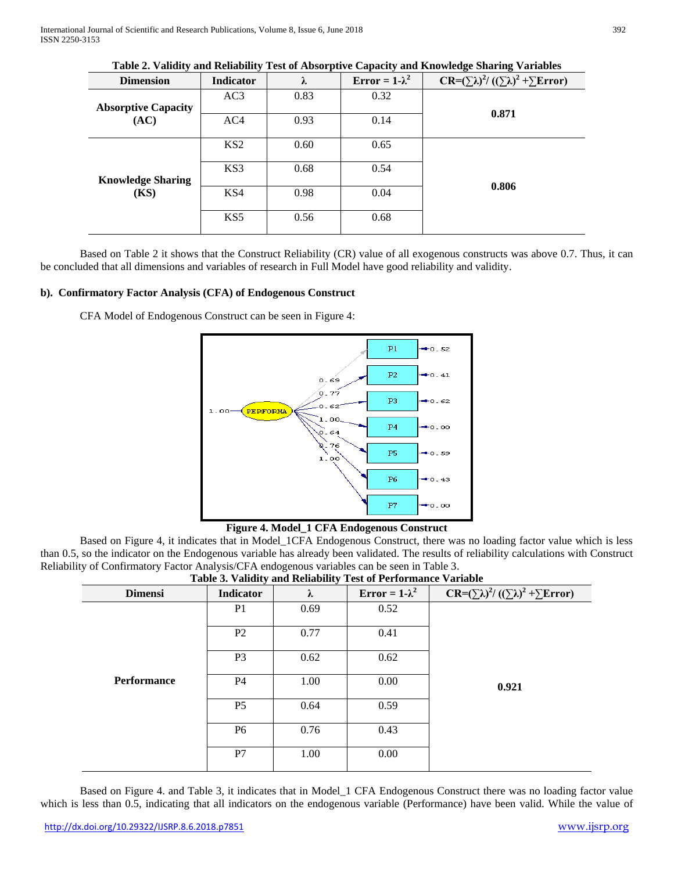International Journal of Scientific and Research Publications, Volume 8, Issue 6, June 2018 392 ISSN 2250-3153

| Table 2. Vanuity and Renability Test of Absorptive Capacity and Knowledge Sharing Variables |                 |      |                       |                                                           |  |
|---------------------------------------------------------------------------------------------|-----------------|------|-----------------------|-----------------------------------------------------------|--|
| <b>Dimension</b>                                                                            | Indicator       | λ    | Error = $1-\lambda^2$ | $CR = (\sum \lambda)^2 / ((\sum \lambda)^2 + \sum Error)$ |  |
| <b>Absorptive Capacity</b>                                                                  | AC3             | 0.83 | 0.32                  |                                                           |  |
| (AC)                                                                                        | AC4             | 0.93 | 0.14                  | 0.871                                                     |  |
|                                                                                             | KS <sub>2</sub> | 0.60 | 0.65                  |                                                           |  |
| <b>Knowledge Sharing</b>                                                                    | KS3             | 0.68 | 0.54                  |                                                           |  |
| <b>(KS)</b>                                                                                 | KS4             | 0.98 | 0.04                  | 0.806                                                     |  |
|                                                                                             | KS5             | 0.56 | 0.68                  |                                                           |  |
|                                                                                             |                 |      |                       |                                                           |  |

| Table 2. Validity and Reliability Test of Absorptive Capacity and Knowledge Sharing Variables |  |  |  |  |
|-----------------------------------------------------------------------------------------------|--|--|--|--|
|-----------------------------------------------------------------------------------------------|--|--|--|--|

Based on Table 2 it shows that the Construct Reliability (CR) value of all exogenous constructs was above 0.7. Thus, it can be concluded that all dimensions and variables of research in Full Model have good reliability and validity.

#### **b). Confirmatory Factor Analysis (CFA) of Endogenous Construct**

CFA Model of Endogenous Construct can be seen in Figure 4:



**Figure 4. Model\_1 CFA Endogenous Construct**

Based on Figure 4, it indicates that in Model\_1CFA Endogenous Construct, there was no loading factor value which is less than 0.5, so the indicator on the Endogenous variable has already been validated. The results of reliability calculations with Construct Reliability of Confirmatory Factor Analysis/CFA endogenous variables can be seen in Table 3.

| There of $\alpha$ and $\alpha$ and $\alpha$ are $\alpha$ and $\alpha$ and $\alpha$ are $\alpha$ and $\alpha$ and $\alpha$ |                  |           |                       |                                                                      |  |
|---------------------------------------------------------------------------------------------------------------------------|------------------|-----------|-----------------------|----------------------------------------------------------------------|--|
| <b>Dimensi</b>                                                                                                            | <b>Indicator</b> | $\lambda$ | Error = $1-\lambda^2$ | CR= $(\Sigma \lambda)^2/ ((\Sigma \lambda)^2 + \Sigma \text{Error})$ |  |
|                                                                                                                           | P <sub>1</sub>   | 0.69      | 0.52                  |                                                                      |  |
|                                                                                                                           | P <sub>2</sub>   | 0.77      | 0.41                  |                                                                      |  |
|                                                                                                                           | P <sub>3</sub>   | 0.62      | 0.62                  |                                                                      |  |
| <b>Performance</b>                                                                                                        | <b>P4</b>        | 1.00      | 0.00                  | 0.921                                                                |  |
|                                                                                                                           | P <sub>5</sub>   | 0.64      | 0.59                  |                                                                      |  |
|                                                                                                                           | <b>P6</b>        | 0.76      | 0.43                  |                                                                      |  |
|                                                                                                                           | P7               | 1.00      | 0.00                  |                                                                      |  |

|  | Table 3. Validity and Reliability Test of Performance Variable |  |
|--|----------------------------------------------------------------|--|

Based on Figure 4. and Table 3, it indicates that in Model\_1 CFA Endogenous Construct there was no loading factor value which is less than 0.5, indicating that all indicators on the endogenous variable (Performance) have been valid. While the value of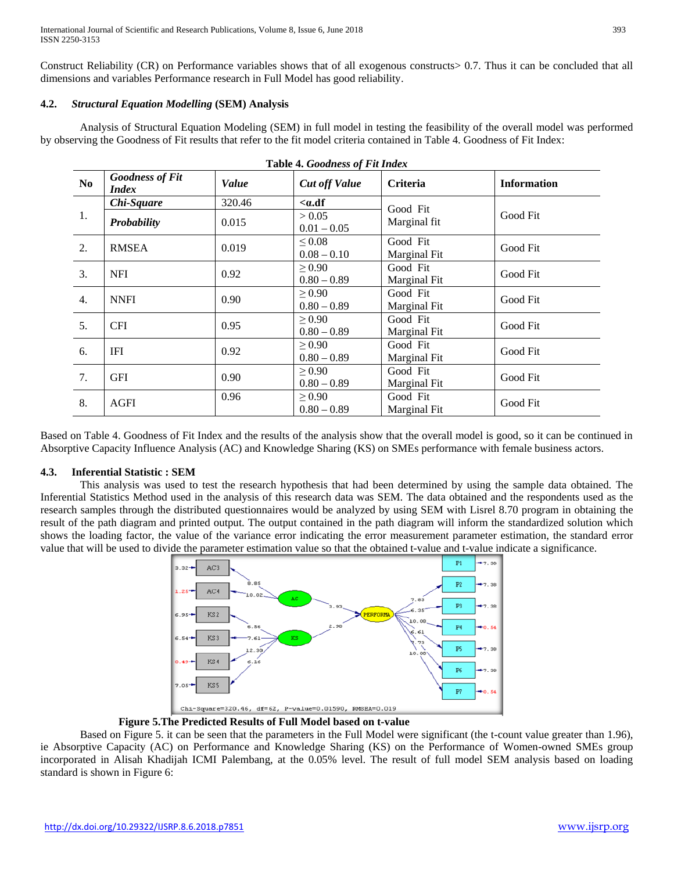Construct Reliability (CR) on Performance variables shows that of all exogenous constructs> 0.7. Thus it can be concluded that all dimensions and variables Performance research in Full Model has good reliability.

# **4.2.** *Structural Equation Modelling* **(SEM) Analysis**

Analysis of Structural Equation Modeling (SEM) in full model in testing the feasibility of the overall model was performed by observing the Goodness of Fit results that refer to the fit model criteria contained in Table 4. Goodness of Fit Index:

**Table 4.** *Goodness of Fit Index*

|                | Lable 4. Goballess of Fu Halex         |        |                      |                     |                    |  |  |
|----------------|----------------------------------------|--------|----------------------|---------------------|--------------------|--|--|
| N <sub>0</sub> | <b>Goodness of Fit</b><br><b>Index</b> | Value  | <b>Cut off Value</b> | Criteria            | <b>Information</b> |  |  |
|                | Chi-Square                             | 320.46 | $.df$                | Good Fit            |                    |  |  |
| 1.             | Probability                            | 0.015  | > 0.05               | Marginal fit        | Good Fit           |  |  |
|                |                                        |        | $0.01 - 0.05$        |                     |                    |  |  |
| 2.             | <b>RMSEA</b>                           | 0.019  | $\leq 0.08$          | Good Fit            | Good Fit           |  |  |
|                |                                        |        | $0.08 - 0.10$        | Marginal Fit        |                    |  |  |
|                | <b>NFI</b>                             |        | > 0.90               | Good Fit            | Good Fit           |  |  |
| 3.             |                                        | 0.92   | $0.80 - 0.89$        | Marginal Fit        |                    |  |  |
|                | <b>NNFI</b>                            |        | $\geq 0.90$          | Good Fit            |                    |  |  |
| 4.             |                                        | 0.90   | $0.80 - 0.89$        | Marginal Fit        | Good Fit           |  |  |
| 5.             | <b>CFI</b>                             | 0.95   | > 0.90               | Good Fit            | Good Fit           |  |  |
|                |                                        |        | $0.80 - 0.89$        | <b>Marginal Fit</b> |                    |  |  |
| 6.             | IFI                                    | 0.92   | > 0.90               | Good Fit            | Good Fit           |  |  |
|                |                                        |        | $0.80 - 0.89$        | Marginal Fit        |                    |  |  |
| 7.             | <b>GFI</b>                             |        | $\geq 0.90$          | Good Fit            |                    |  |  |
|                |                                        | 0.90   | $0.80 - 0.89$        | Marginal Fit        | Good Fit           |  |  |
| 8.             | <b>AGFI</b>                            | 0.96   | $\geq 0.90$          | Good Fit            | Good Fit           |  |  |
|                |                                        |        | $0.80 - 0.89$        | Marginal Fit        |                    |  |  |

Based on Table 4. Goodness of Fit Index and the results of the analysis show that the overall model is good, so it can be continued in Absorptive Capacity Influence Analysis (AC) and Knowledge Sharing (KS) on SMEs performance with female business actors.

# **4.3. Inferential Statistic : SEM**

This analysis was used to test the research hypothesis that had been determined by using the sample data obtained. The Inferential Statistics Method used in the analysis of this research data was SEM. The data obtained and the respondents used as the research samples through the distributed questionnaires would be analyzed by using SEM with Lisrel 8.70 program in obtaining the result of the path diagram and printed output. The output contained in the path diagram will inform the standardized solution which shows the loading factor, the value of the variance error indicating the error measurement parameter estimation, the standard error value that will be used to divide the parameter estimation value so that the obtained t-value and t-value indicate a significance.



 **Figure 5.The Predicted Results of Full Model based on t-value**

Based on Figure 5. it can be seen that the parameters in the Full Model were significant (the t-count value greater than 1.96), ie Absorptive Capacity (AC) on Performance and Knowledge Sharing (KS) on the Performance of Women-owned SMEs group incorporated in Alisah Khadijah ICMI Palembang, at the 0.05% level. The result of full model SEM analysis based on loading standard is shown in Figure 6: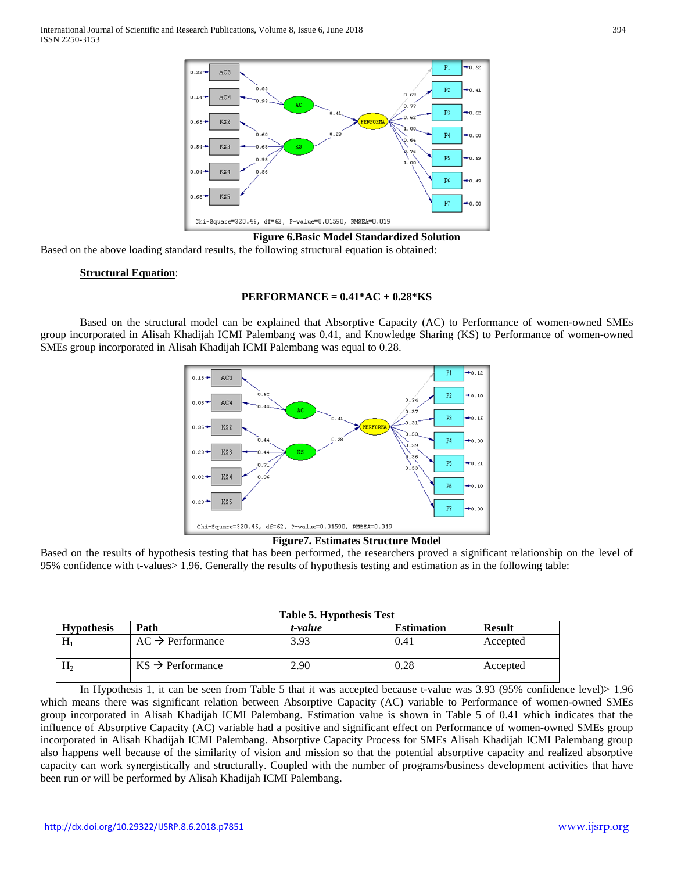

**Figure 6.Basic Model Standardized Solution**

Based on the above loading standard results, the following structural equation is obtained:

#### **Structural Equation**:

#### **PERFORMANCE = 0.41\*AC + 0.28\*KS**

Based on the structural model can be explained that Absorptive Capacity (AC) to Performance of women-owned SMEs group incorporated in Alisah Khadijah ICMI Palembang was 0.41, and Knowledge Sharing (KS) to Performance of women-owned SMEs group incorporated in Alisah Khadijah ICMI Palembang was equal to 0.28.





Based on the results of hypothesis testing that has been performed, the researchers proved a significant relationship on the level of 95% confidence with t-values> 1.96. Generally the results of hypothesis testing and estimation as in the following table:

| Table 5. Hypothesis Test |           |  |       |  |
|--------------------------|-----------|--|-------|--|
|                          | $+$ nahia |  | Ectim |  |

| <b>Hypothesis</b> | Path                         | t-value | <b>Estimation</b> | <b>Result</b> |
|-------------------|------------------------------|---------|-------------------|---------------|
| H                 | $AC \rightarrow$ Performance | 3.93    | 0.41              | Accepted      |
| $H_2$             | $KS \rightarrow$ Performance | 2.90    | 0.28              | Accepted      |

In Hypothesis 1, it can be seen from Table 5 that it was accepted because t-value was 3.93 (95% confidence level)> 1,96 which means there was significant relation between Absorptive Capacity (AC) variable to Performance of women-owned SMEs group incorporated in Alisah Khadijah ICMI Palembang. Estimation value is shown in Table 5 of 0.41 which indicates that the influence of Absorptive Capacity (AC) variable had a positive and significant effect on Performance of women-owned SMEs group incorporated in Alisah Khadijah ICMI Palembang. Absorptive Capacity Process for SMEs Alisah Khadijah ICMI Palembang group also happens well because of the similarity of vision and mission so that the potential absorptive capacity and realized absorptive capacity can work synergistically and structurally. Coupled with the number of programs/business development activities that have been run or will be performed by Alisah Khadijah ICMI Palembang.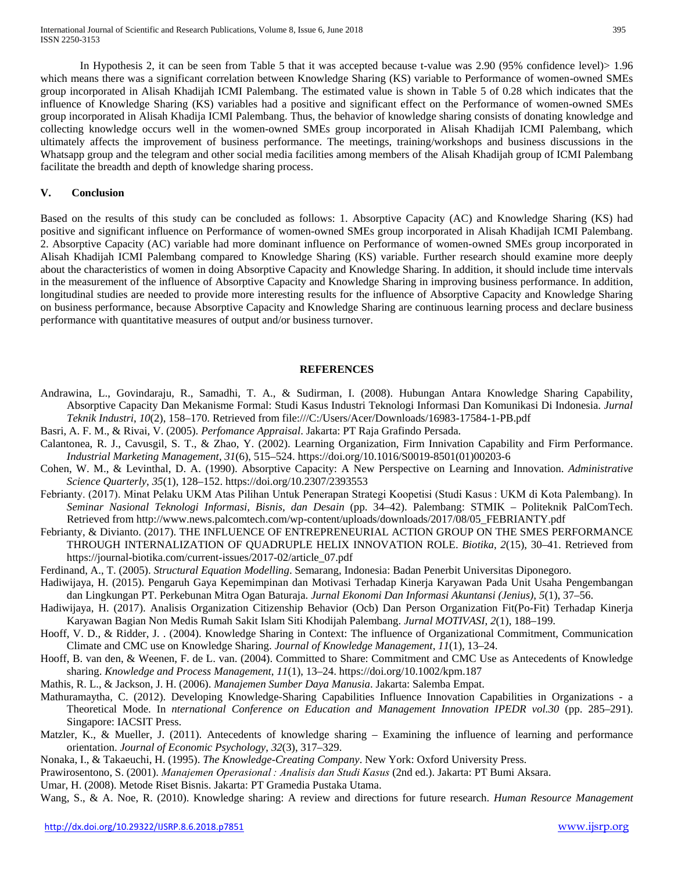In Hypothesis 2, it can be seen from Table 5 that it was accepted because t-value was 2.90 (95% confidence level)> 1.96 which means there was a significant correlation between Knowledge Sharing (KS) variable to Performance of women-owned SMEs group incorporated in Alisah Khadijah ICMI Palembang. The estimated value is shown in Table 5 of 0.28 which indicates that the influence of Knowledge Sharing (KS) variables had a positive and significant effect on the Performance of women-owned SMEs group incorporated in Alisah Khadija ICMI Palembang. Thus, the behavior of knowledge sharing consists of donating knowledge and

collecting knowledge occurs well in the women-owned SMEs group incorporated in Alisah Khadijah ICMI Palembang, which ultimately affects the improvement of business performance. The meetings, training/workshops and business discussions in the Whatsapp group and the telegram and other social media facilities among members of the Alisah Khadijah group of ICMI Palembang facilitate the breadth and depth of knowledge sharing process.

# **V. Conclusion**

Based on the results of this study can be concluded as follows: 1. Absorptive Capacity (AC) and Knowledge Sharing (KS) had positive and significant influence on Performance of women-owned SMEs group incorporated in Alisah Khadijah ICMI Palembang. 2. Absorptive Capacity (AC) variable had more dominant influence on Performance of women-owned SMEs group incorporated in Alisah Khadijah ICMI Palembang compared to Knowledge Sharing (KS) variable. Further research should examine more deeply about the characteristics of women in doing Absorptive Capacity and Knowledge Sharing. In addition, it should include time intervals in the measurement of the influence of Absorptive Capacity and Knowledge Sharing in improving business performance. In addition, longitudinal studies are needed to provide more interesting results for the influence of Absorptive Capacity and Knowledge Sharing on business performance, because Absorptive Capacity and Knowledge Sharing are continuous learning process and declare business performance with quantitative measures of output and/or business turnover.

# **REFERENCES**

- Andrawina, L., Govindaraju, R., Samadhi, T. A., & Sudirman, I. (2008). Hubungan Antara Knowledge Sharing Capability, Absorptive Capacity Dan Mekanisme Formal: Studi Kasus Industri Teknologi Informasi Dan Komunikasi Di Indonesia. *Jurnal Teknik Industri*, *10*(2), 158–170. Retrieved from file:///C:/Users/Acer/Downloads/16983-17584-1-PB.pdf
- Basri, A. F. M., & Rivai, V. (2005). *Perfomance Appraisal*. Jakarta: PT Raja Grafindo Persada.
- Calantonea, R. J., Cavusgil, S. T., & Zhao, Y. (2002). Learning Organization, Firm Innivation Capability and Firm Performance. *Industrial Marketing Management*, *31*(6), 515–524. https://doi.org/10.1016/S0019-8501(01)00203-6
- Cohen, W. M., & Levinthal, D. A. (1990). Absorptive Capacity: A New Perspective on Learning and Innovation. *Administrative Science Quarterly*, *35*(1), 128–152. https://doi.org/10.2307/2393553
- Febrianty. (2017). Minat Pelaku UKM Atas Pilihan Untuk Penerapan Strategi Koopetisi (Studi Kasus : UKM di Kota Palembang). In *Seminar Nasional Teknologi Informasi, Bisnis, dan Desain* (pp. 34–42). Palembang: STMIK – Politeknik PalComTech. Retrieved from http://www.news.palcomtech.com/wp-content/uploads/downloads/2017/08/05\_FEBRIANTY.pdf
- Febrianty, & Divianto. (2017). THE INFLUENCE OF ENTREPRENEURIAL ACTION GROUP ON THE SMES PERFORMANCE THROUGH INTERNALIZATION OF QUADRUPLE HELIX INNOVATION ROLE. *Biotika*, *2*(15), 30–41. Retrieved from https://journal-biotika.com/current-issues/2017-02/article\_07.pdf
- Ferdinand, A., T. (2005). *Structural Equation Modelling*. Semarang, Indonesia: Badan Penerbit Universitas Diponegoro.
- Hadiwijaya, H. (2015). Pengaruh Gaya Kepemimpinan dan Motivasi Terhadap Kinerja Karyawan Pada Unit Usaha Pengembangan dan Lingkungan PT. Perkebunan Mitra Ogan Baturaja. *Jurnal Ekonomi Dan Informasi Akuntansi (Jenius)*, *5*(1), 37–56.
- Hadiwijaya, H. (2017). Analisis Organization Citizenship Behavior (Ocb) Dan Person Organization Fit(Po-Fit) Terhadap Kinerja Karyawan Bagian Non Medis Rumah Sakit Islam Siti Khodijah Palembang. *Jurnal MOTIVASI*, *2*(1), 188–199.
- Hooff, V. D., & Ridder, J. . (2004). Knowledge Sharing in Context: The influence of Organizational Commitment, Communication Climate and CMC use on Knowledge Sharing. *Journal of Knowledge Management*, *11*(1), 13–24.
- Hooff, B. van den, & Weenen, F. de L. van. (2004). Committed to Share: Commitment and CMC Use as Antecedents of Knowledge sharing. *Knowledge and Process Management*, *11*(1), 13–24. https://doi.org/10.1002/kpm.187
- Mathis, R. L., & Jackson, J. H. (2006). *Manajemen Sumber Daya Manusia*. Jakarta: Salemba Empat.
- Mathuramaytha, C. (2012). Developing Knowledge-Sharing Capabilities Influence Innovation Capabilities in Organizations a Theoretical Mode. In *nternational Conference on Education and Management Innovation IPEDR vol.30* (pp. 285–291). Singapore: IACSIT Press.
- Matzler, K., & Mueller, J. (2011). Antecedents of knowledge sharing Examining the influence of learning and performance orientation. *Journal of Economic Psychology*, *32*(3), 317–329.
- Nonaka, I., & Takaeuchi, H. (1995). *The Knowledge-Creating Company*. New York: Oxford University Press.
- Prawirosentono, S. (2001). *Manajemen Operasional : Analisis dan Studi Kasus* (2nd ed.). Jakarta: PT Bumi Aksara.
- Umar, H. (2008). Metode Riset Bisnis. Jakarta: PT Gramedia Pustaka Utama.
- Wang, S., & A. Noe, R. (2010). Knowledge sharing: A review and directions for future research. *Human Resource Management*